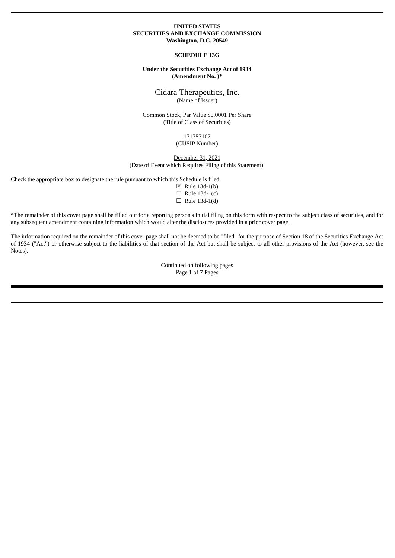### **UNITED STATES SECURITIES AND EXCHANGE COMMISSION Washington, D.C. 20549**

#### **SCHEDULE 13G**

# **Under the Securities Exchange Act of 1934 (Amendment No. )\***

Cidara Therapeutics, Inc. (Name of Issuer)

Common Stock, Par Value \$0.0001 Per Share (Title of Class of Securities)

> 171757107 (CUSIP Number)

December 31, 2021 (Date of Event which Requires Filing of this Statement)

Check the appropriate box to designate the rule pursuant to which this Schedule is filed:

☒ Rule 13d-1(b)

 $\Box$  Rule 13d-1(c)

 $\Box$  Rule 13d-1(d)

\*The remainder of this cover page shall be filled out for a reporting person's initial filing on this form with respect to the subject class of securities, and for any subsequent amendment containing information which would alter the disclosures provided in a prior cover page.

The information required on the remainder of this cover page shall not be deemed to be "filed" for the purpose of Section 18 of the Securities Exchange Act of 1934 ("Act") or otherwise subject to the liabilities of that section of the Act but shall be subject to all other provisions of the Act (however, see the Notes).

> Continued on following pages Page 1 of 7 Pages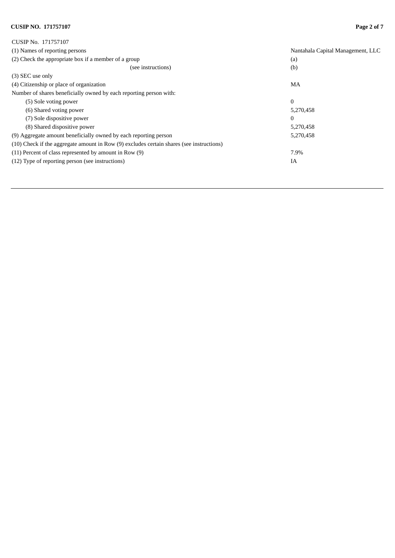# **CUSIP NO. 171757107 Page 2 of 7**

| CUSIP No. 171757107                                                                      |                                   |
|------------------------------------------------------------------------------------------|-----------------------------------|
| (1) Names of reporting persons                                                           | Nantahala Capital Management, LLC |
| (2) Check the appropriate box if a member of a group                                     | (a)                               |
| (see instructions)                                                                       | (b)                               |
| (3) SEC use only                                                                         |                                   |
| (4) Citizenship or place of organization                                                 | MA                                |
| Number of shares beneficially owned by each reporting person with:                       |                                   |
| (5) Sole voting power                                                                    | $\mathbf{0}$                      |
| (6) Shared voting power                                                                  | 5,270,458                         |
| (7) Sole dispositive power                                                               | $\bf{0}$                          |
| (8) Shared dispositive power                                                             | 5,270,458                         |
| (9) Aggregate amount beneficially owned by each reporting person                         | 5,270,458                         |
| (10) Check if the aggregate amount in Row (9) excludes certain shares (see instructions) |                                   |
| (11) Percent of class represented by amount in Row (9)                                   | 7.9%                              |
| (12) Type of reporting person (see instructions)                                         | IA                                |
|                                                                                          |                                   |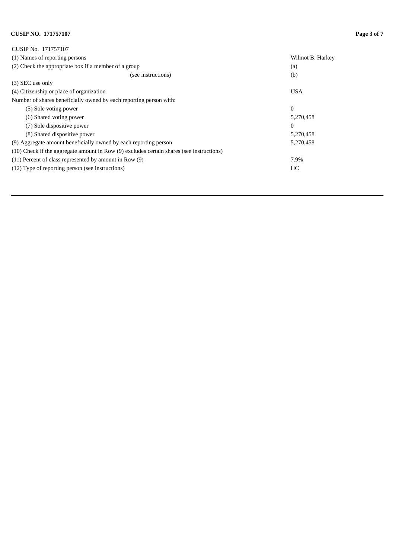# **CUSIP NO. 171757107 Page 3 of 7**

| CUSIP No. 171757107                                                                      |                  |
|------------------------------------------------------------------------------------------|------------------|
| (1) Names of reporting persons                                                           | Wilmot B. Harkey |
| (2) Check the appropriate box if a member of a group                                     | (a)              |
| (see instructions)                                                                       | (b)              |
| (3) SEC use only                                                                         |                  |
| (4) Citizenship or place of organization                                                 | <b>USA</b>       |
| Number of shares beneficially owned by each reporting person with:                       |                  |
| (5) Sole voting power                                                                    | $\mathbf{0}$     |
| (6) Shared voting power                                                                  | 5,270,458        |
| (7) Sole dispositive power                                                               | $\mathbf{0}$     |
| (8) Shared dispositive power                                                             | 5,270,458        |
| (9) Aggregate amount beneficially owned by each reporting person                         | 5,270,458        |
| (10) Check if the aggregate amount in Row (9) excludes certain shares (see instructions) |                  |
| $(11)$ Percent of class represented by amount in Row $(9)$                               | 7.9%             |
| (12) Type of reporting person (see instructions)                                         | HC               |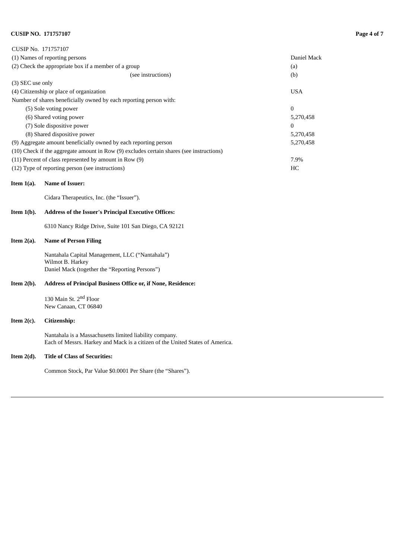# **CUSIP NO. 171757107 Page 4 of 7**

| CUSIP No. 171757107                                                                      |              |
|------------------------------------------------------------------------------------------|--------------|
| (1) Names of reporting persons                                                           | Daniel Mack  |
| (2) Check the appropriate box if a member of a group                                     | (a)          |
| (see instructions)                                                                       | (b)          |
| (3) SEC use only                                                                         |              |
| (4) Citizenship or place of organization                                                 | <b>USA</b>   |
| Number of shares beneficially owned by each reporting person with:                       |              |
| (5) Sole voting power                                                                    | $\mathbf{0}$ |
| (6) Shared voting power                                                                  | 5,270,458    |
| (7) Sole dispositive power                                                               | 0            |
| (8) Shared dispositive power                                                             | 5,270,458    |
| (9) Aggregate amount beneficially owned by each reporting person                         | 5,270,458    |
| (10) Check if the aggregate amount in Row (9) excludes certain shares (see instructions) |              |
| $(11)$ Percent of class represented by amount in Row $(9)$                               | 7.9%         |
| (12) Type of reporting person (see instructions)                                         | HC           |

#### **Item 1(a). Name of Issuer:**

Cidara Therapeutics, Inc. (the "Issuer").

# **Item 1(b). Address of the Issuer's Principal Executive Offices:**

6310 Nancy Ridge Drive, Suite 101 San Diego, CA 92121

# **Item 2(a). Name of Person Filing**

Nantahala Capital Management, LLC ("Nantahala") Wilmot B. Harkey Daniel Mack (together the "Reporting Persons")

# **Item 2(b). Address of Principal Business Office or, if None, Residence:**

130 Main St. 2<sup>nd</sup> Floor New Canaan, CT 06840

#### **Item 2(c). Citizenship:**

Nantahala is a Massachusetts limited liability company. Each of Messrs. Harkey and Mack is a citizen of the United States of America.

# **Item 2(d). Title of Class of Securities:**

Common Stock, Par Value \$0.0001 Per Share (the "Shares").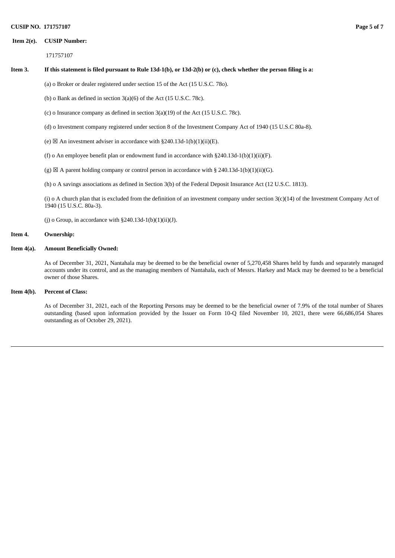#### **CUSIP NO. 171757107 Page 5 of 7**

#### **Item 2(e). CUSIP Number:**

171757107

# Item 3. If this statement is filed pursuant to Rule 13d-1(b), or 13d-2(b) or (c), check whether the person filing is a:

(a) o Broker or dealer registered under section 15 of the Act (15 U.S.C. 78o).

- (b) o Bank as defined in section 3(a)(6) of the Act (15 U.S.C. 78c).
- (c) o Insurance company as defined in section 3(a)(19) of the Act (15 U.S.C. 78c).
- (d) o Investment company registered under section 8 of the Investment Company Act of 1940 (15 U.S.C 80a-8).
- (e)  $\boxtimes$  An investment adviser in accordance with §240.13d-1(b)(1)(ii)(E).
- (f) o An employee benefit plan or endowment fund in accordance with  $\S 240.13d-1(b)(1)(ii)(F)$ .
- (g)  $\boxtimes$  A parent holding company or control person in accordance with § 240.13d-1(b)(1)(ii)(G).

(h) o A savings associations as defined in Section 3(b) of the Federal Deposit Insurance Act (12 U.S.C. 1813).

(i) o A church plan that is excluded from the definition of an investment company under section 3(c)(14) of the Investment Company Act of 1940 (15 U.S.C. 80a-3).

(j) o Group, in accordance with  $\S 240.13d-1(b)(1)(ii)(J)$ .

#### **Item 4. Ownership:**

#### **Item 4(a). Amount Beneficially Owned:**

As of December 31, 2021, Nantahala may be deemed to be the beneficial owner of 5,270,458 Shares held by funds and separately managed accounts under its control, and as the managing members of Nantahala, each of Messrs. Harkey and Mack may be deemed to be a beneficial owner of those Shares.

#### **Item 4(b). Percent of Class:**

As of December 31, 2021, each of the Reporting Persons may be deemed to be the beneficial owner of 7.9% of the total number of Shares outstanding (based upon information provided by the Issuer on Form 10-Q filed November 10, 2021, there were 66,686,054 Shares outstanding as of October 29, 2021).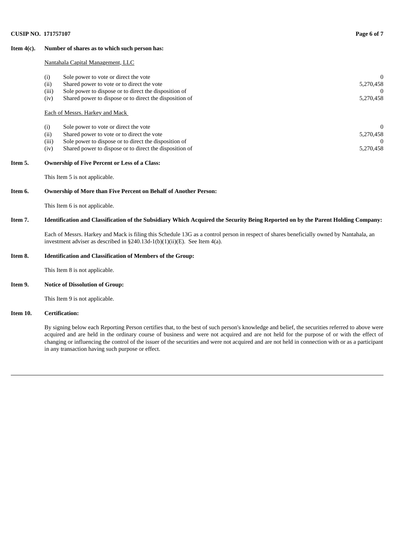# **CUSIP NO. 171757107 Page 6 of 7**

# **Item 4(c). Number of shares as to which such person has:**

### Nantahala Capital Management, LLC

| (i)   | Sole power to vote or direct the vote                   |           |
|-------|---------------------------------------------------------|-----------|
| (ii)  | Shared power to vote or to direct the vote              | 5,270,458 |
| (iii) | Sole power to dispose or to direct the disposition of   |           |
| (iv)  | Shared power to dispose or to direct the disposition of | 5,270,458 |
|       | <b>Each of Messrs. Harkey and Mack</b>                  |           |
|       |                                                         |           |
| (i)   | Sole power to vote or direct the vote                   |           |
| (ii)  | Shared power to vote or to direct the vote              | 5,270,458 |
| (iii) | Sole power to dispose or to direct the disposition of   |           |

# **Item 5. Ownership of Five Percent or Less of a Class:**

This Item 5 is not applicable.

#### **Item 6. Ownership of More than Five Percent on Behalf of Another Person:**

This Item 6 is not applicable.

# Item 7. Identification and Classification of the Subsidiary Which Acquired the Security Being Reported on by the Parent Holding Company:

Each of Messrs. Harkey and Mack is filing this Schedule 13G as a control person in respect of shares beneficially owned by Nantahala, an investment adviser as described in §240.13d-1(b)(1)(ii)(E). See Item 4(a).

#### **Item 8. Identification and Classification of Members of the Group:**

This Item 8 is not applicable.

#### **Item 9. Notice of Dissolution of Group:**

This Item 9 is not applicable.

### **Item 10. Certification:**

By signing below each Reporting Person certifies that, to the best of such person's knowledge and belief, the securities referred to above were acquired and are held in the ordinary course of business and were not acquired and are not held for the purpose of or with the effect of changing or influencing the control of the issuer of the securities and were not acquired and are not held in connection with or as a participant in any transaction having such purpose or effect.